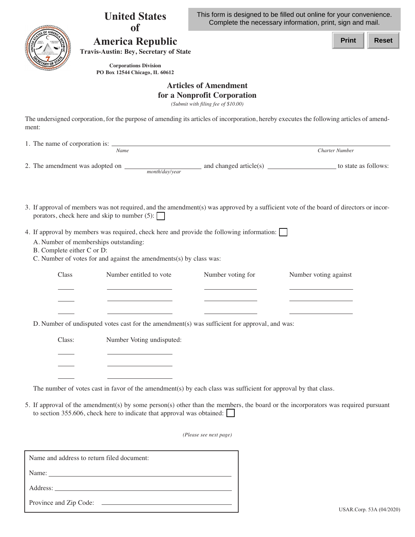|        | <b>United States</b>                                                                                                                                                                                                                                                | This form is designed to be filled out online for your convenience.<br>Complete the necessary information, print, sign and mail. |                       |                       |              |
|--------|---------------------------------------------------------------------------------------------------------------------------------------------------------------------------------------------------------------------------------------------------------------------|----------------------------------------------------------------------------------------------------------------------------------|-----------------------|-----------------------|--------------|
|        | <b>America Republic</b><br><b>Travis-Austin: Bey, Secretary of State</b>                                                                                                                                                                                            |                                                                                                                                  |                       | <b>Print</b>          | <b>Reset</b> |
|        | <b>Corporations Division</b><br>PO Box 12544 Chicago, IL 60612                                                                                                                                                                                                      |                                                                                                                                  |                       |                       |              |
|        |                                                                                                                                                                                                                                                                     | <b>Articles of Amendment</b><br>for a Nonprofit Corporation<br>(Submit with filing fee of \$10.00)                               |                       |                       |              |
| ment:  | The undersigned corporation, for the purpose of amending its articles of incorporation, hereby executes the following articles of amend-                                                                                                                            |                                                                                                                                  |                       |                       |              |
|        |                                                                                                                                                                                                                                                                     |                                                                                                                                  |                       |                       |              |
|        | Name                                                                                                                                                                                                                                                                |                                                                                                                                  |                       | <b>Charter Number</b> |              |
| Class  | 4. If approval by members was required, check here and provide the following information:  <br>A. Number of memberships outstanding:<br>B. Complete either C or D:<br>C. Number of votes for and against the amendments(s) by class was:<br>Number entitled to vote | Number voting for                                                                                                                | Number voting against |                       |              |
|        |                                                                                                                                                                                                                                                                     |                                                                                                                                  |                       |                       |              |
|        | D. Number of undisputed votes cast for the amendment(s) was sufficient for approval, and was:                                                                                                                                                                       |                                                                                                                                  |                       |                       |              |
| Class: | Number Voting undisputed:                                                                                                                                                                                                                                           |                                                                                                                                  |                       |                       |              |
|        | $\mathcal{L}(\mathcal{L}^{\mathcal{L}})$ and $\mathcal{L}^{\mathcal{L}}$ are the set of the set of the set of $\mathcal{L}^{\mathcal{L}}$                                                                                                                           |                                                                                                                                  |                       |                       |              |
|        | The number of votes cast in favor of the amendment(s) by each class was sufficient for approval by that class.                                                                                                                                                      |                                                                                                                                  |                       |                       |              |
|        | 5. If approval of the amendment(s) by some person(s) other than the members, the board or the incorporators was required pursuant<br>to section 355.606, check here to indicate that approval was obtained:                                                         |                                                                                                                                  |                       |                       |              |
|        |                                                                                                                                                                                                                                                                     | (Please see next page)                                                                                                           |                       |                       |              |
|        | Name and address to return filed document:                                                                                                                                                                                                                          |                                                                                                                                  |                       |                       |              |
|        |                                                                                                                                                                                                                                                                     |                                                                                                                                  |                       |                       |              |
|        |                                                                                                                                                                                                                                                                     |                                                                                                                                  |                       |                       |              |
|        | Province and Zip Code:                                                                                                                                                                                                                                              |                                                                                                                                  |                       |                       |              |